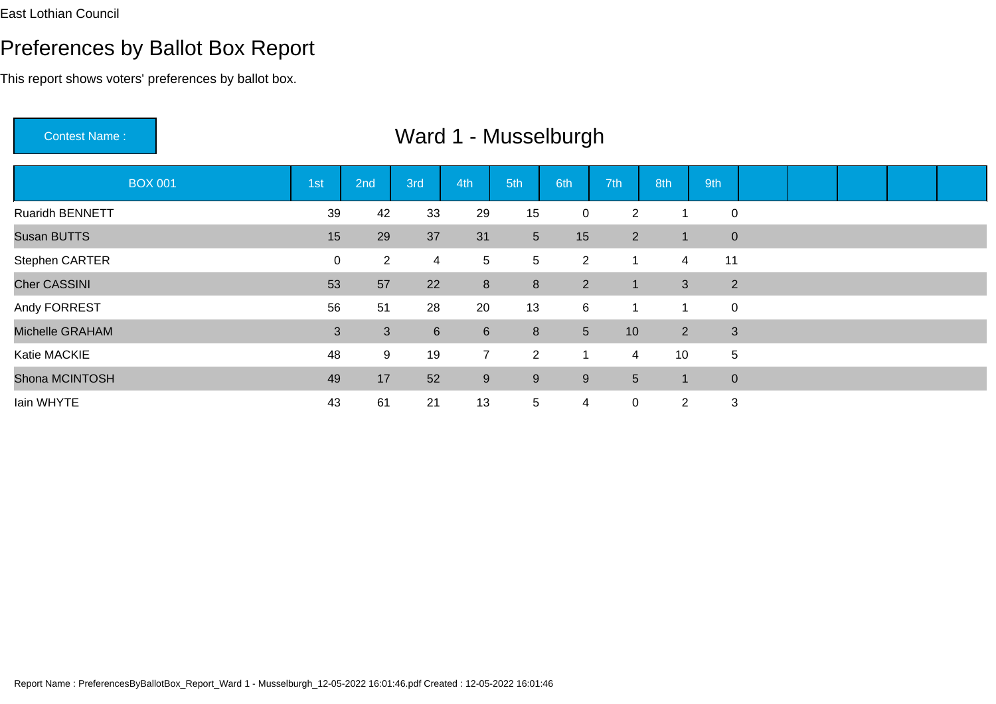This report shows voters' preferences by ballot box.

Contest Name : Ward 1 - MusselburghBOX 0011st 2nd 3rd 4th 5th 6th 7th 8th 9th

| <b>BOX 001</b>         | 1st | 2nd            | 3rd             | 4th            | 5th            | 6th            | 7th            | 8th                        | 9th            |  |  |  |
|------------------------|-----|----------------|-----------------|----------------|----------------|----------------|----------------|----------------------------|----------------|--|--|--|
| <b>Ruaridh BENNETT</b> | 39  | 42             | 33              | 29             | 15             | $\mathbf{0}$   | $\overline{2}$ |                            | 0              |  |  |  |
| Susan BUTTS            | 15  | 29             | 37              | 31             | 5 <sup>5</sup> | 15             | 2              | 1                          | $\mathbf 0$    |  |  |  |
| Stephen CARTER         | 0   | $\overline{2}$ | 4               | $\overline{5}$ | 5 <sup>5</sup> | $\overline{2}$ | -1             | 4                          | 11             |  |  |  |
| <b>Cher CASSINI</b>    | 53  | 57             | 22              | 8              | 8              | 2              | 1              | 3                          | $\overline{2}$ |  |  |  |
| Andy FORREST           | 56  | 51             | 28              | 20             | 13             | 6              |                | 1                          | $\mathbf 0$    |  |  |  |
| Michelle GRAHAM        | 3   | $\mathbf{3}$   | $6\phantom{1}6$ | $6\phantom{1}$ | 8              | 5 <sup>5</sup> | 10             | $\overline{2}$             | 3              |  |  |  |
| Katie MACKIE           | 48  | 9              | 19              | $\overline{7}$ | $2^{\circ}$    | -1             | 4              | 10 <sup>°</sup>            | 5              |  |  |  |
| Shona MCINTOSH         | 49  | 17             | 52              | 9              | 9              | 9              | 5              | $\boldsymbol{\mathcal{A}}$ | $\mathbf 0$    |  |  |  |
| lain WHYTE             | 43  | 61             | 21              | 13             | 5              | 4              | $\mathbf 0$    | $\overline{2}$             | 3              |  |  |  |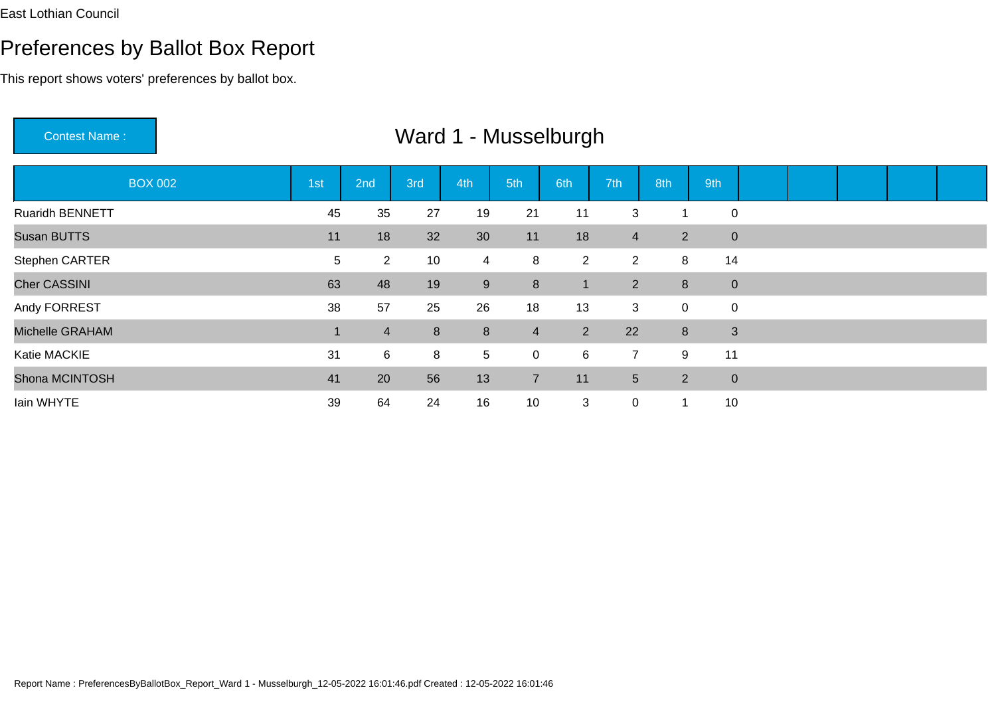#### Preferences by Ballot Box Report

This report shows voters' preferences by ballot box.

BOX 002 1st 2nd 3rd 4th 5th 6th 7th 8th 9th Ruaridh BENNETT <sup>45</sup> <sup>35</sup> <sup>27</sup> <sup>19</sup> <sup>21</sup> <sup>11</sup> <sup>3</sup> <sup>1</sup> <sup>0</sup> Susan BUTTS <sup>11</sup> <sup>18</sup> <sup>32</sup> <sup>30</sup> <sup>11</sup> <sup>18</sup> <sup>4</sup> <sup>2</sup> <sup>0</sup> Stephen CARTERR<br>
5 2 10 4 8 2 2 8 14 Cher CASSINI1 63 <sup>48</sup> <sup>19</sup> <sup>9</sup> <sup>8</sup> <sup>1</sup> <sup>2</sup> <sup>8</sup> <sup>0</sup> Andy FORRESTT 38 57 25 26 18 13 3 0 0 Michelle GRAHAMM 1 4 8 8 4 2 22 8 3 Katie MACKIE <sup>31</sup> <sup>6</sup> <sup>8</sup> <sup>5</sup> <sup>0</sup> <sup>6</sup> <sup>7</sup> <sup>9</sup> <sup>11</sup> Shona MCINTOSH <sup>41</sup> <sup>20</sup> <sup>56</sup> <sup>13</sup> <sup>7</sup> <sup>11</sup> <sup>5</sup> <sup>2</sup> <sup>0</sup> Iain WHYTE<sup>39</sup> <sup>64</sup> <sup>24</sup> <sup>16</sup> <sup>10</sup> <sup>3</sup> <sup>0</sup> <sup>1</sup> <sup>10</sup>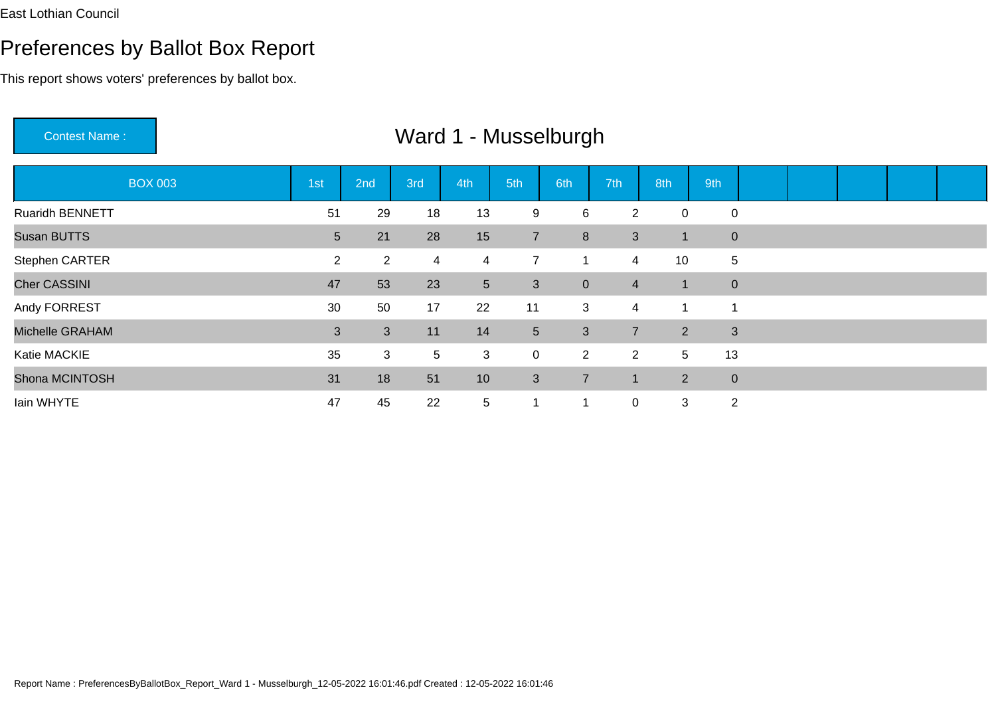Michelle GRAHAM

Shona MCINTOSH

Katie MACKIE

Iain WHYTE

#### Preferences by Ballot Box Report

This report shows voters' preferences by ballot box.

Contest Name : Ward 1 - MusselburghBOX 003 1st 2nd 3rd 4th 5th 6th 7th 8th 9th Ruaridh BENNETT <sup>51</sup> <sup>29</sup> <sup>18</sup> <sup>13</sup> <sup>9</sup> <sup>6</sup> <sup>2</sup> <sup>0</sup> <sup>0</sup> Susan BUTTS5 21 28 15 7 8 3 1 0 Stephen CARTERR 2 2 4 4 7 1 4 10 5 Cher CASSINI $\sim$  47 <sup>53</sup> <sup>23</sup> <sup>5</sup> <sup>3</sup> <sup>0</sup> <sup>4</sup> <sup>1</sup> <sup>0</sup> Andy FORRESTT 3 30 50 17 22 11 3 4 1 1

M
2
3
3
3
11
14
5
3
3
3
3
11
14
5
3
7
2
3

<sup>31</sup> <sup>18</sup> <sup>51</sup> <sup>10</sup> <sup>3</sup> <sup>7</sup> <sup>1</sup> <sup>2</sup> <sup>0</sup>

<sup>35</sup> <sup>3</sup> <sup>5</sup> <sup>3</sup> <sup>0</sup> <sup>2</sup> <sup>2</sup> <sup>5</sup> <sup>13</sup>

E 22 47 45 22 5 1 1 0 3 2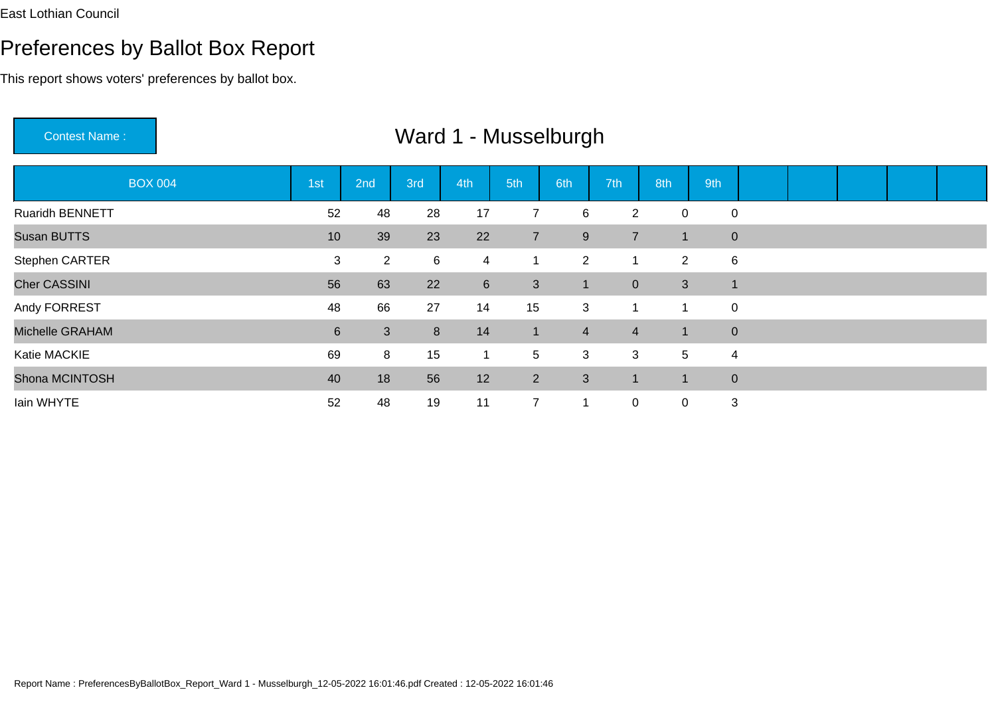Iain WHYTE

#### Preferences by Ballot Box Report

This report shows voters' preferences by ballot box.

Contest Name : Ward 1 - MusselburghBOX 004 1st 2nd 3rd 4th 5th 6th 7th 8th 9th Ruaridh BENNETTT 52 48 28 17 7 6 2 0 0 Susan BUTTS5 23 23 24 7 9 7 1 0 Stephen CARTERR 3 2 6 4 1 2 1 2 6 Cher CASSINI $\blacksquare$  <sup>63</sup> <sup>22</sup> <sup>6</sup> <sup>3</sup> <sup>1</sup> <sup>0</sup> <sup>3</sup> <sup>1</sup> Andy FORRESTT 1 2 28 66 27 14 15 3 1 1 0 Michelle GRAHAMM 6 3 8 14 1 4 4 1 0 Katie MACKIE <sup>69</sup> <sup>8</sup> <sup>15</sup> <sup>1</sup> <sup>5</sup> <sup>3</sup> <sup>3</sup> <sup>5</sup> <sup>4</sup> Shona MCINTOSH

<sup>40</sup> <sup>18</sup> <sup>56</sup> <sup>12</sup> <sup>2</sup> <sup>3</sup> <sup>1</sup> <sup>1</sup> <sup>0</sup>

<sup>52</sup> <sup>48</sup> <sup>19</sup> <sup>11</sup> <sup>7</sup> <sup>1</sup> <sup>0</sup> <sup>0</sup> <sup>3</sup>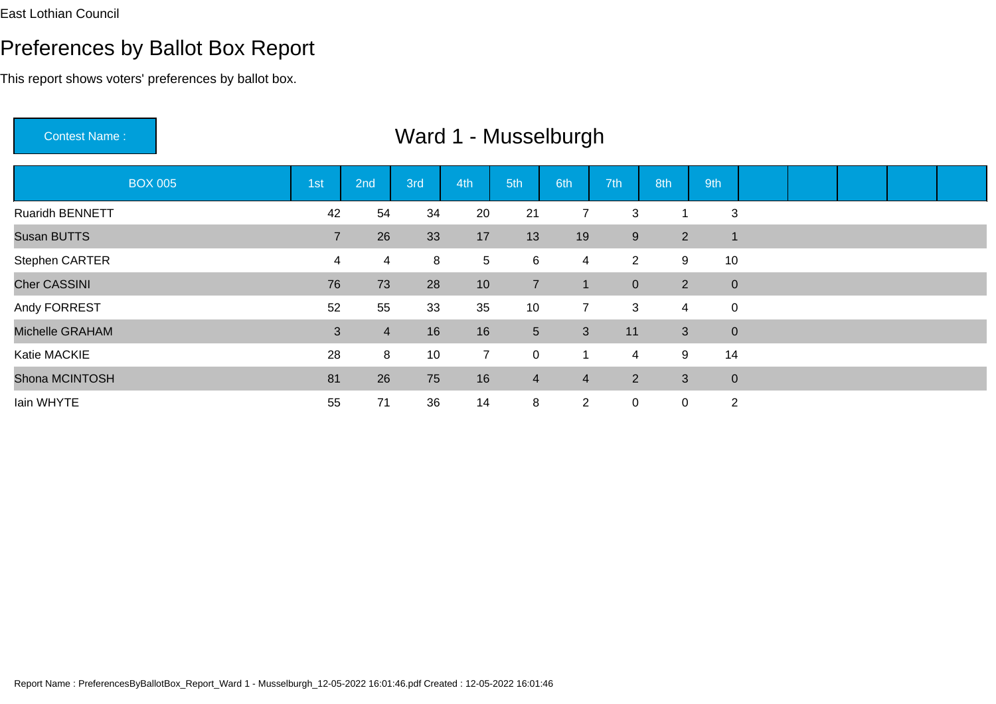This report shows voters' preferences by ballot box.

Contest Name : Ward 1 - MusselburghBOX 005 1st 2nd 3rd 4th 5th 6th 7th 8th 9th Ruaridh BENNETTT 1 22 42 54 34 20 21 7 3 1 3 Susan BUTTS <sup>7</sup> <sup>26</sup> <sup>33</sup> <sup>17</sup> <sup>13</sup> <sup>19</sup> <sup>9</sup> <sup>2</sup> <sup>1</sup> Stephen CARTER <sup>4</sup> <sup>4</sup> <sup>8</sup> <sup>5</sup> <sup>6</sup> <sup>4</sup> <sup>2</sup> <sup>9</sup> <sup>10</sup> Cher CASSINI 76 <sup>73</sup> <sup>28</sup> <sup>10</sup> <sup>7</sup> <sup>1</sup> <sup>0</sup> <sup>2</sup> <sup>0</sup> Andy FORRESTT 52 55 33 35 10 7 3 4 0 Michelle GRAHAMM<br>2 16 16 16 5 3 11 3 0 Katie MACKIEE 28 8 10 7 0 1 4 9 14 Shona MCINTOSH <sup>81</sup> <sup>26</sup> <sup>75</sup> <sup>16</sup> <sup>4</sup> <sup>4</sup> <sup>2</sup> <sup>3</sup> <sup>0</sup> Iain WHYTE<sup>55</sup> <sup>71</sup> <sup>36</sup> <sup>14</sup> <sup>8</sup> <sup>2</sup> <sup>0</sup> <sup>0</sup> <sup>2</sup>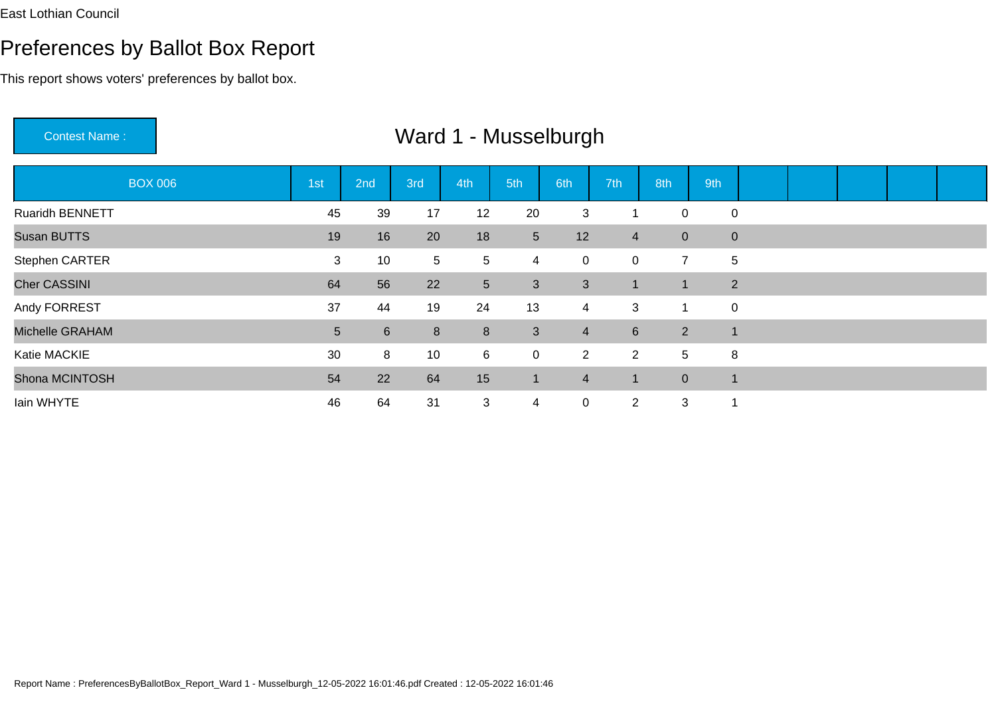This report shows voters' preferences by ballot box.

Contest Name :

| <b>BOX 006</b>         | 1st | 2nd            | 3rd     | 4th             | 5th            | 6th            | 7th            | 8th            | 9th                  |  |  |  |
|------------------------|-----|----------------|---------|-----------------|----------------|----------------|----------------|----------------|----------------------|--|--|--|
| <b>Ruaridh BENNETT</b> | 45  | 39             | 17      | 12              | 20             | 3              |                | $\pmb{0}$      | $\mathbf 0$          |  |  |  |
| Susan BUTTS            | 19  | 16             | 20      | 18              | 5 <sup>5</sup> | 12             | $\overline{4}$ | $\mathbf 0$    | $\mathbf 0$          |  |  |  |
| Stephen CARTER         | 3   | 10             | 5       | 5               | 4              | 0              | $\mathbf 0$    | $\overline{7}$ | 5                    |  |  |  |
| <b>Cher CASSINI</b>    | 64  | 56             | 22      | 5 <sup>5</sup>  | 3              | 3              |                | $\blacksquare$ | 2                    |  |  |  |
| Andy FORREST           | 37  | 44             | 19      | 24              | 13             | $\overline{4}$ | 3              |                | $\mathbf 0$          |  |  |  |
| Michelle GRAHAM        | 5   | $6\phantom{1}$ | $\bf 8$ | 8               | $\mathbf{3}$   | $\overline{4}$ | $6\phantom{1}$ | $\overline{2}$ | $\overline{1}$       |  |  |  |
| Katie MACKIE           | 30  | 8              | 10      | 6               | $\overline{0}$ | $\mathbf{2}$   | $\overline{2}$ | 5              | 8                    |  |  |  |
| Shona MCINTOSH         | 54  | 22             | 64      | 15 <sub>1</sub> | $\blacksquare$ | $\overline{4}$ |                | $\overline{0}$ | $\blacktriangleleft$ |  |  |  |
| lain WHYTE             | 46  | 64             | 31      | 3               | 4              | 0              | $\overline{2}$ | 3              | 1                    |  |  |  |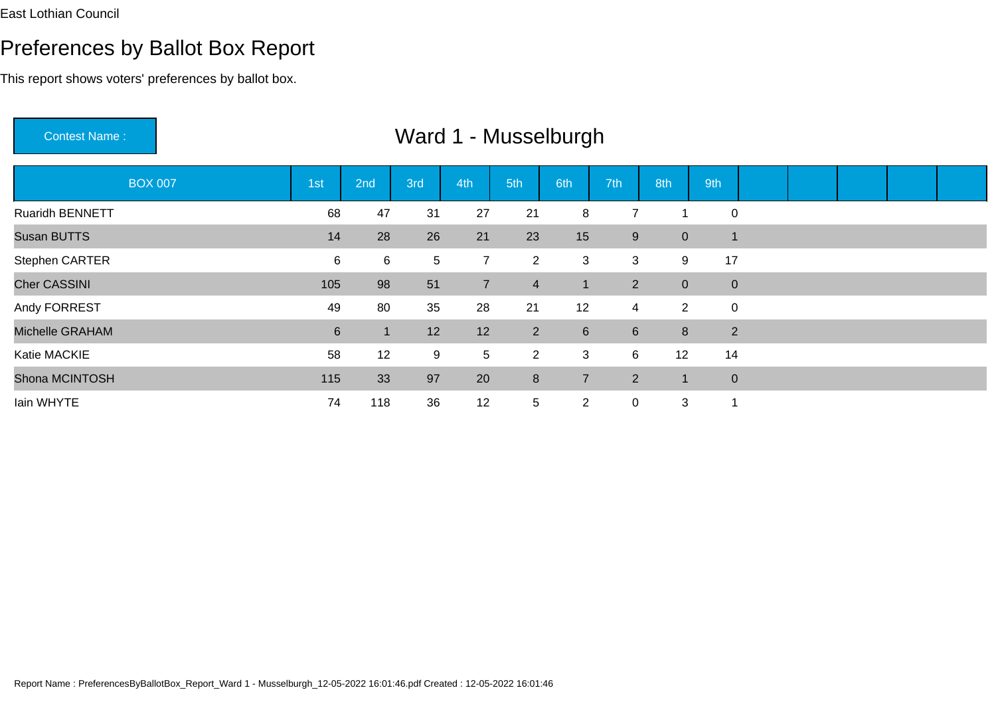This report shows voters' preferences by ballot box.

Contest Name :Ward 1 - Musselburgh

| <b>BOX 007</b>      | 1 <sub>st</sub> | 2nd | 3rd | 4th             | 5th            | 6th            | 7th            | 8th              | 9th            |  |  |  |
|---------------------|-----------------|-----|-----|-----------------|----------------|----------------|----------------|------------------|----------------|--|--|--|
| Ruaridh BENNETT     | 68              | 47  | 31  | 27              | 21             | 8              | 7              |                  | $\mathbf 0$    |  |  |  |
| Susan BUTTS         | 14              | 28  | 26  | 21              | 23             | 15             | 9              | $\boldsymbol{0}$ | 1              |  |  |  |
| Stephen CARTER      | 6               | 6   | 5   | 7               | $\overline{2}$ | 3              | 3              | 9                | 17             |  |  |  |
| <b>Cher CASSINI</b> | 105             | 98  | 51  | $\overline{7}$  | $\overline{4}$ |                | $\overline{2}$ | $\overline{0}$   | $\overline{0}$ |  |  |  |
| Andy FORREST        | 49              | 80  | 35  | 28              | 21             | 12             | $\overline{4}$ | $\overline{2}$   | $\mathbf 0$    |  |  |  |
| Michelle GRAHAM     | $6\phantom{.}$  | -1  | 12  | 12              | 2 <sup>1</sup> | 6              | $6\phantom{1}$ | 8                | $\overline{2}$ |  |  |  |
| Katie MACKIE        | 58              | 12  | 9   | $5\phantom{.0}$ | $\overline{2}$ | 3              | 6              | 12               | 14             |  |  |  |
| Shona MCINTOSH      | 115             | 33  | 97  | 20              | 8              | $\overline{7}$ | $2^{\circ}$    | 1                | $\mathbf{0}$   |  |  |  |
| Iain WHYTE          | 74              | 118 | 36  | 12              | 5              | $\overline{2}$ | $\mathbf 0$    | 3                | 1              |  |  |  |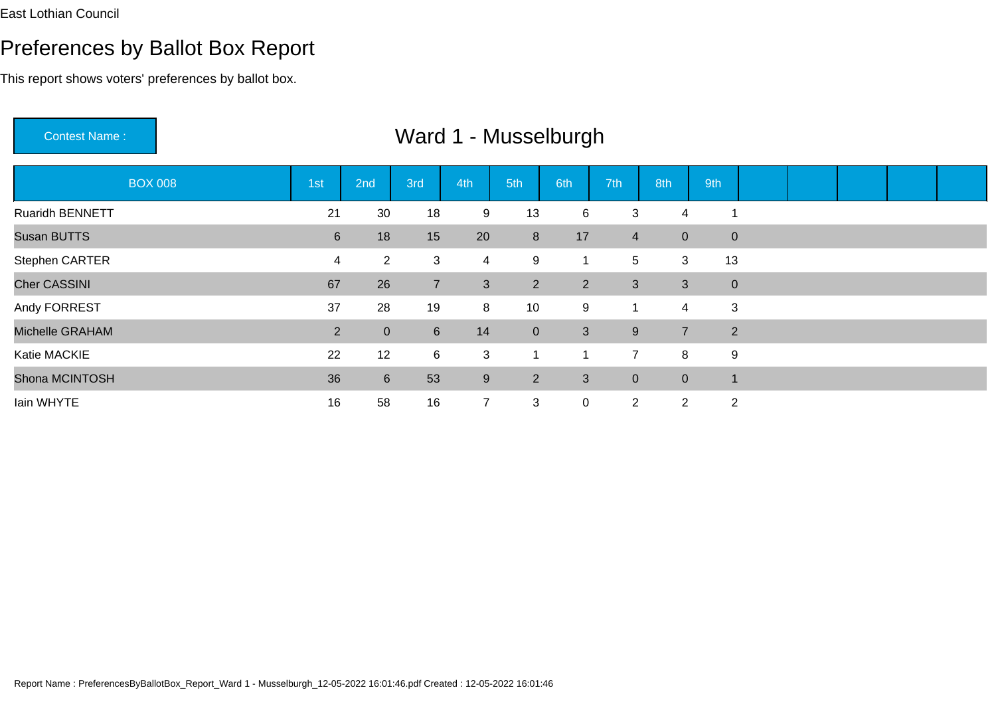#### Preferences by Ballot Box Report

This report shows voters' preferences by ballot box.

BOX 008 1st 2nd 3rd 4th 5th 6th 7th 8th 9th Ruaridh BENNETT <sup>21</sup> <sup>30</sup> <sup>18</sup> <sup>9</sup> <sup>13</sup> <sup>6</sup> <sup>3</sup> <sup>4</sup> <sup>1</sup> Susan BUTTS <sup>6</sup> <sup>18</sup> <sup>15</sup> <sup>20</sup> <sup>8</sup> <sup>17</sup> <sup>4</sup> <sup>0</sup> <sup>0</sup> Stephen CARTERR<br>
13 4 4 2 3 4 9 1 5 3 13 Cher CASSINI1 67 <sup>26</sup> <sup>7</sup> <sup>3</sup> <sup>2</sup> <sup>2</sup> <sup>3</sup> <sup>3</sup> <sup>0</sup> Andy FORREST <sup>37</sup> <sup>28</sup> <sup>19</sup> <sup>8</sup> <sup>10</sup> <sup>9</sup> <sup>1</sup> <sup>4</sup> <sup>3</sup> Michelle GRAHAM <sup>2</sup> <sup>0</sup> <sup>6</sup> <sup>14</sup> <sup>0</sup> <sup>3</sup> <sup>9</sup> <sup>7</sup> <sup>2</sup> Katie MACKIEE 22 12 6 3 1 1 7 8 9 Shona MCINTOSHH 36 6 53 9 2 3 0 0 1 Iain WHYTEE 16 58 16 7 3 0 2 2 2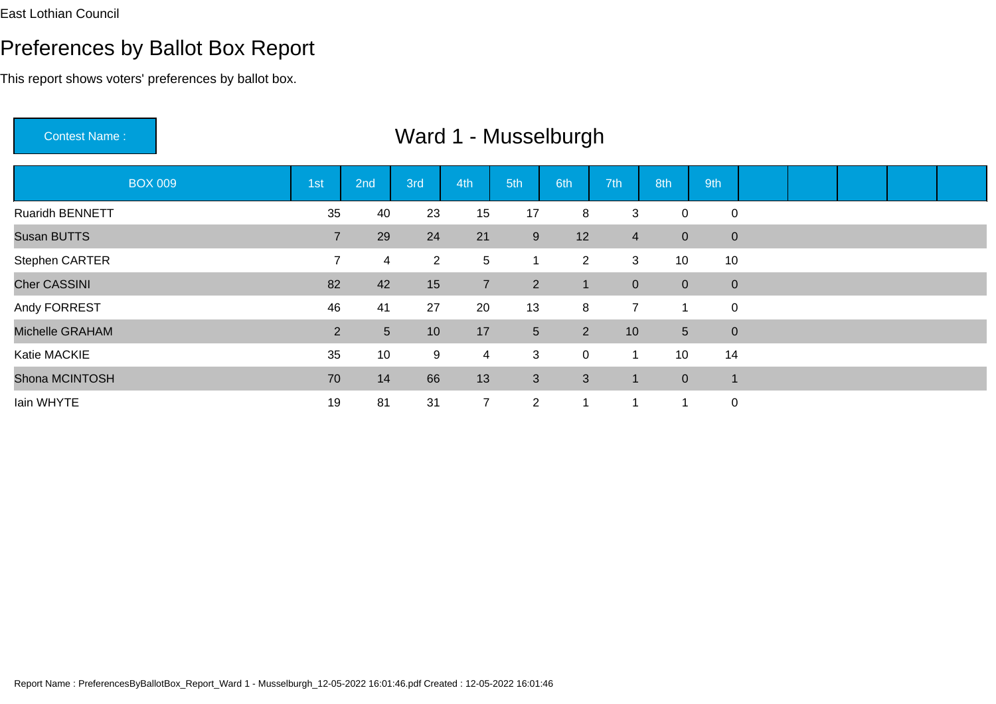#### Preferences by Ballot Box Report

This report shows voters' preferences by ballot box.

 Ward 1 - MusselburghBOX 009 1st 2nd 3rd 4th 5th 6th 7th 8th 9th Ruaridh BENNETTT 35 40 23 15 17 8 3 0 0 Susan BUTTS5 29 29 24 21 9 12 4 0 0 Stephen CARTER <sup>7</sup> <sup>4</sup> <sup>2</sup> <sup>5</sup> <sup>1</sup> <sup>2</sup> <sup>3</sup> <sup>10</sup> <sup>10</sup> Cher CASSINI1 82 and 2014 12:00 and 2014 12:00 and 2014 12:00 and 2014 12:00 and 2014 12:00 and 2014 12:00 and 20 2 42 15 7 2 1 0 0 0 Andy FORRESTT 1 26 41 27 20 13 8 7 1 0 Michelle GRAHAM <sup>2</sup> <sup>5</sup> <sup>10</sup> <sup>17</sup> <sup>5</sup> <sup>2</sup> <sup>10</sup> <sup>5</sup> <sup>0</sup> Katie MACKIE <sup>35</sup> <sup>10</sup> <sup>9</sup> <sup>4</sup> <sup>3</sup> <sup>0</sup> <sup>1</sup> <sup>10</sup> <sup>14</sup> Shona MCINTOSH <sup>70</sup> <sup>14</sup> <sup>66</sup> <sup>13</sup> <sup>3</sup> <sup>3</sup> <sup>1</sup> <sup>0</sup> <sup>1</sup> Iain WHYTEE 19 81 31 7 2 1 1 1 0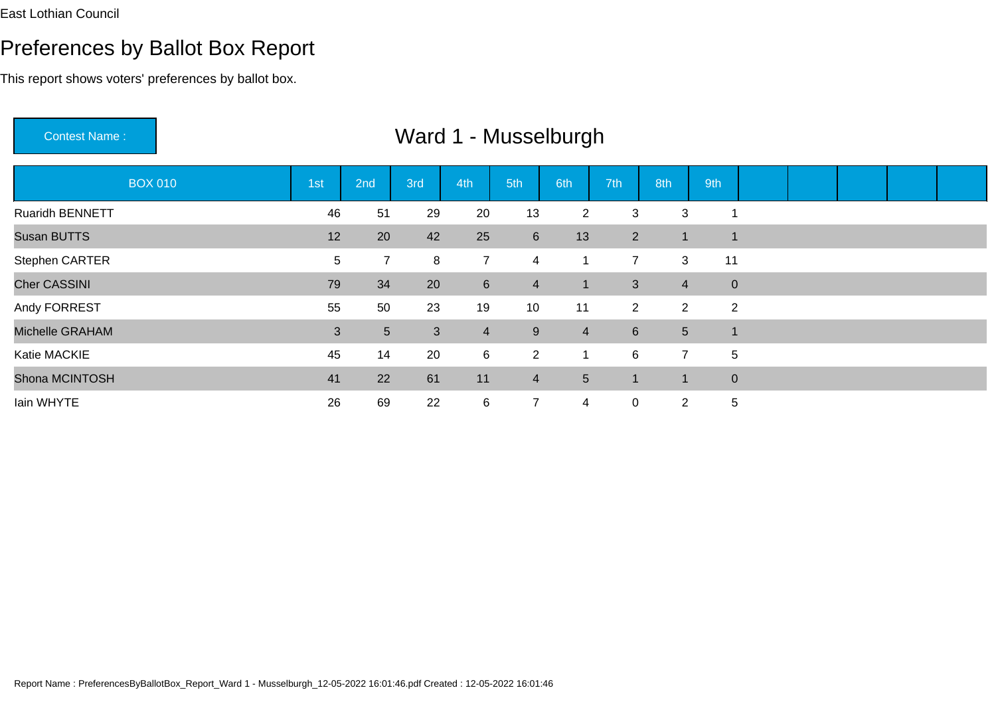#### Preferences by Ballot Box Report

This report shows voters' preferences by ballot box.

 Ward 1 - MusselburghBOX 010 1st 2nd 3rd 4th 5th 6th 7th 8th 9th Ruaridh BENNETTT 1 26 51 29 20 13 2 3 3 1 Susan BUTTS5 5 5 5 5 5 5 5 6 7  $\frac{12}{12}$  20 42 25 6 13 2 1 1 Stephen CARTER <sup>5</sup> <sup>7</sup> <sup>8</sup> <sup>7</sup> <sup>4</sup> <sup>1</sup> <sup>7</sup> <sup>3</sup> <sup>11</sup> Cher CASSINI 79 <sup>34</sup> <sup>20</sup> <sup>6</sup> <sup>4</sup> <sup>1</sup> <sup>3</sup> <sup>4</sup> <sup>0</sup> Andy FORREST <sup>55</sup> <sup>50</sup> <sup>23</sup> <sup>19</sup> <sup>10</sup> <sup>11</sup> <sup>2</sup> <sup>2</sup> <sup>2</sup> Michelle GRAHAMM 3 3 5 3 4 9 4 6 5 1 Katie MACKIE <sup>45</sup> <sup>14</sup> <sup>20</sup> <sup>6</sup> <sup>2</sup> <sup>1</sup> <sup>6</sup> <sup>7</sup> <sup>5</sup> Shona MCINTOSH <sup>41</sup> <sup>22</sup> <sup>61</sup> <sup>11</sup> <sup>4</sup> <sup>5</sup> <sup>1</sup> <sup>1</sup> <sup>0</sup> Iain WHYTE<sup>26</sup> <sup>69</sup> <sup>22</sup> <sup>6</sup> <sup>7</sup> <sup>4</sup> <sup>0</sup> <sup>2</sup> <sup>5</sup>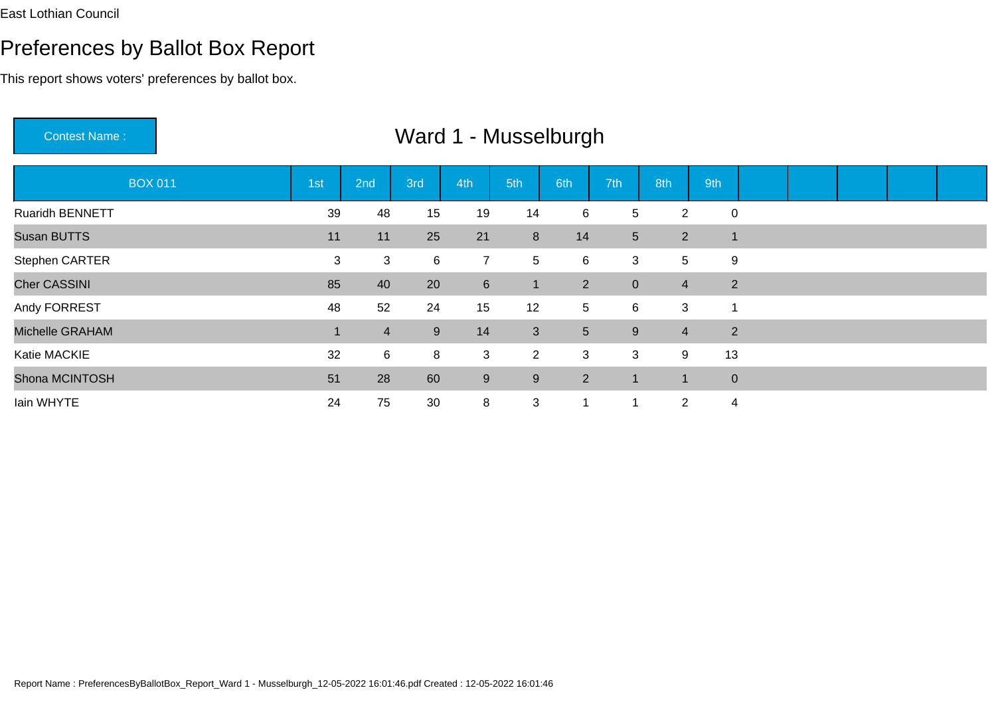This report shows voters' preferences by ballot box.

Contest Name : Ward 1 - MusselburghBOX 011 1st 2nd 3rd 4th 5th 6th 7th 8th 9th Ruaridh BENNETT <sup>39</sup> <sup>48</sup> <sup>15</sup> <sup>19</sup> <sup>14</sup> <sup>6</sup> <sup>5</sup> <sup>2</sup> <sup>0</sup> Susan BUTTS <sup>11</sup> <sup>11</sup> <sup>25</sup> <sup>21</sup> <sup>8</sup> <sup>14</sup> <sup>5</sup> <sup>2</sup> <sup>1</sup> Stephen CARTERR<br>
2 3 3 6 7 5 6 3 5 9 Cher CASSINI 85 <sup>40</sup> <sup>20</sup> <sup>6</sup> <sup>1</sup> <sup>2</sup> <sup>0</sup> <sup>4</sup> <sup>2</sup> Andy FORRESTT 12 5 6 3 1 Michelle GRAHAMM 1 4 9 14 3 5 9 4 2 Katie MACKIEE 32 6 8 3 2 3 3 9 13 Shona MCINTOSH <sup>51</sup> <sup>28</sup> <sup>60</sup> <sup>9</sup> <sup>9</sup> <sup>2</sup> <sup>1</sup> <sup>1</sup> <sup>0</sup> Iain WHYTEE 24 75 30 8 3 1 1 2 4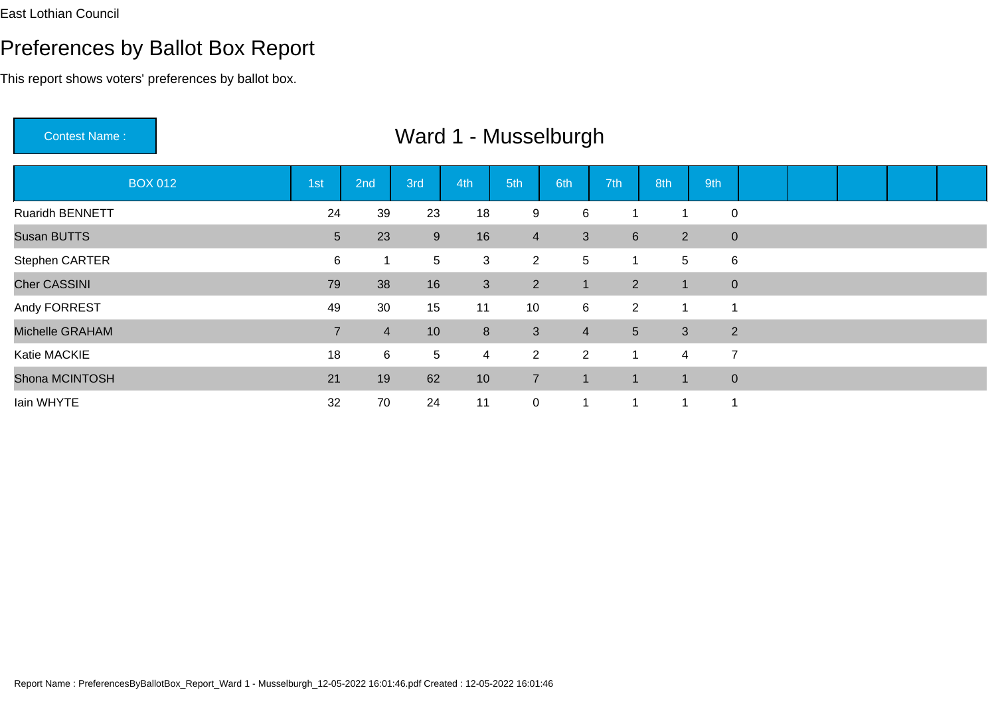This report shows voters' preferences by ballot box.

Contest Name :

| <b>BOX 012</b>         | 1 <sub>st</sub> | 2nd            | 3rd   | 4th             | 5th            | 6th            | 7th             | 8th            | 9th            |   |  |  |
|------------------------|-----------------|----------------|-------|-----------------|----------------|----------------|-----------------|----------------|----------------|---|--|--|
| <b>Ruaridh BENNETT</b> | 24              | 39             | 23    | 18              | 9              | 6              |                 |                | $\mathbf 0$    |   |  |  |
| Susan BUTTS            | 5 <sup>5</sup>  | 23             | $9\,$ | 16              | $\overline{4}$ | 3              | $6\phantom{1}$  | $\overline{2}$ | $\overline{0}$ |   |  |  |
| Stephen CARTER         | 6               | 1              | 5     | 3               | $\overline{2}$ | 5              |                 | 5              |                | 6 |  |  |
| <b>Cher CASSINI</b>    | 79              | 38             | 16    | 3               | 2 <sup>1</sup> |                | $2^{\circ}$     |                | $\overline{0}$ |   |  |  |
| Andy FORREST           | 49              | 30             | 15    | 11              | 10             | 6              | $\overline{2}$  |                | -1             |   |  |  |
| Michelle GRAHAM        | $\overline{7}$  | $\overline{4}$ | 10    | $8\phantom{1}$  | $\mathbf{3}$   | $\overline{4}$ | $5\overline{)}$ | $\mathbf{3}$   | $\overline{2}$ |   |  |  |
| Katie MACKIE           | 18              | 6              | 5     | $\overline{4}$  | $\overline{2}$ | $\overline{2}$ | -1              | 4              | $\overline{7}$ |   |  |  |
| Shona MCINTOSH         | 21              | 19             | 62    | 10 <sup>°</sup> | $\overline{7}$ |                | -1              | 1              | $\overline{0}$ |   |  |  |
| lain WHYTE             | 32              | 70             | 24    | 11              | $\overline{0}$ |                |                 |                | 1              |   |  |  |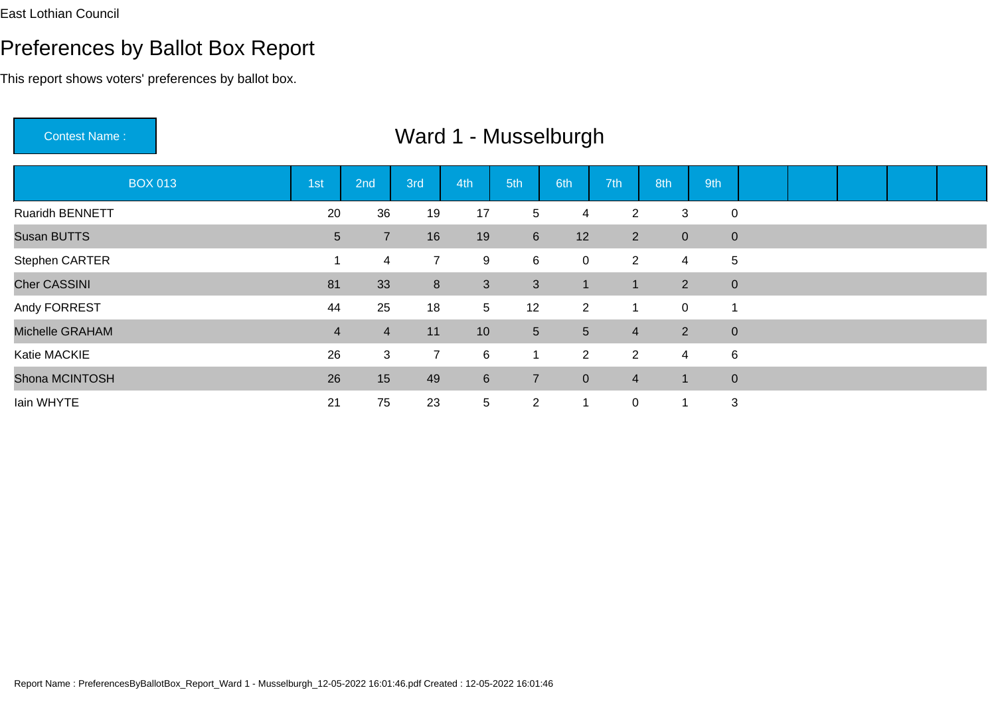#### Preferences by Ballot Box Report

This report shows voters' preferences by ballot box.

 Ward 1 - MusselburghBOX 013 1st 2nd 3rd 4th 5th 6th 7th 8th 9th Ruaridh BENNETT <sup>20</sup> <sup>36</sup> <sup>19</sup> <sup>17</sup> <sup>5</sup> <sup>4</sup> <sup>2</sup> <sup>3</sup> <sup>0</sup> Susan BUTTS5 7 16 19 6 12 2 0 0<br>5 7 16 19 6 12 2 0 0 Stephen CARTERR<br>
1 4 7 9 6 0 2 4 5 Cher CASSINI1 81 and 2012 12:00 to 10:00 percent and 20:00 percent and 20:00 percent and 20:00 percent and 20:00 percent a <sup>33</sup> <sup>8</sup> <sup>3</sup> <sup>3</sup> <sup>1</sup> <sup>1</sup> <sup>2</sup> <sup>0</sup> Andy FORRESTT 12 25 18 5 12 2 1 0 1 Michelle GRAHAMM 4 4 11 10 5 5 4 2 0 Katie MACKIEE 26 3 7 6 1 2 2 4 6 Shona MCINTOSHH 26 15 49 6 7 0 4 1 0 Iain WHYTEE 21 75 23 5 2 1 0 1 3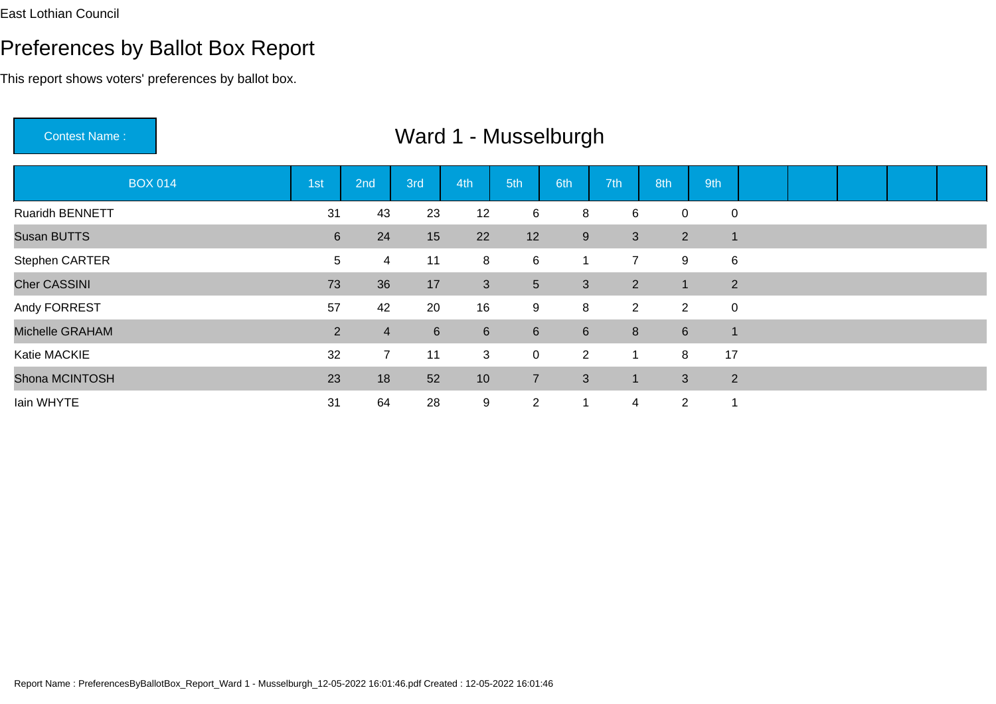This report shows voters' preferences by ballot box.

Contest Name :Ward 1 - Musselburgh

| <b>BOX 014</b>      | 1st              | 2nd            | 3rd            | 4th             | 5th              | 6th              | 7th            | 8th            | 9th            |  |  |  |
|---------------------|------------------|----------------|----------------|-----------------|------------------|------------------|----------------|----------------|----------------|--|--|--|
| Ruaridh BENNETT     | 31               | 43             | 23             | 12              | 6                | 8                | 6              | 0              | $\mathbf 0$    |  |  |  |
| <b>Susan BUTTS</b>  | $6 \overline{6}$ | 24             | 15             | 22              | 12               | 9                | 3              | 2              | $\overline{1}$ |  |  |  |
| Stephen CARTER      | 5                | 4              | 11             | 8               | 6                | 1                | $\overline{7}$ | 9              | 6              |  |  |  |
| <b>Cher CASSINI</b> | 73               | 36             | 17             | 3 <sup>2</sup>  | $5\overline{)}$  | 3                | $2^{\circ}$    | 1              | 2              |  |  |  |
| Andy FORREST        | 57               | 42             | 20             | 16              | 9                | 8                | $\overline{2}$ | $\overline{2}$ | $\mathbf 0$    |  |  |  |
| Michelle GRAHAM     | $\overline{2}$   | $\overline{4}$ | $6\phantom{1}$ | $6\phantom{1}$  | $6 \overline{6}$ | $6 \overline{6}$ | 8              | $6\phantom{1}$ | $\overline{1}$ |  |  |  |
| Katie MACKIE        | 32               | $\overline{7}$ | 11             | 3               | 0                | $\overline{2}$   |                | 8              | 17             |  |  |  |
| Shona MCINTOSH      | 23               | 18             | 52             | 10 <sup>°</sup> | $\overline{7}$   | 3                |                | 3              | 2              |  |  |  |
| Iain WHYTE          | 31               | 64             | 28             | 9               | $\overline{2}$   |                  | 4              | $\overline{2}$ |                |  |  |  |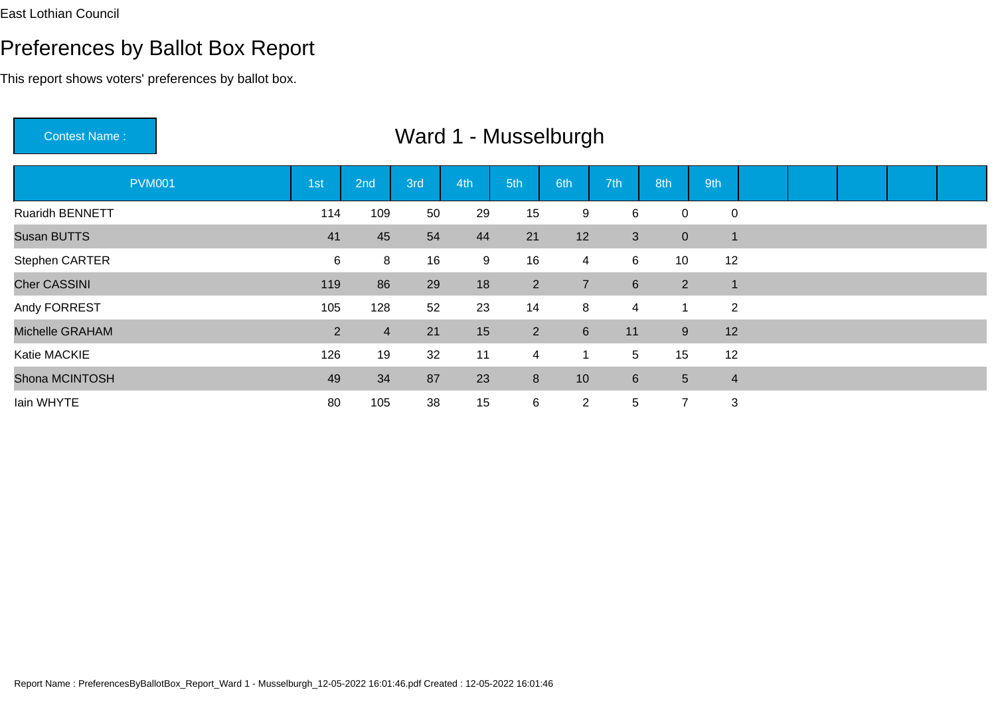This report shows voters' preferences by ballot box.

Contest Name : Ward 1 - MusselburghPVM001 1st 2nd 3rd 4th 5th 6th 7th 8th 9th Ruaridh BENNETT <sup>114</sup> <sup>109</sup> <sup>50</sup> <sup>29</sup> <sup>15</sup> <sup>9</sup> <sup>6</sup> <sup>0</sup> <sup>0</sup> Susan BUTTS5 54 41 45 54 44 21 12 3 0 1 Stephen CARTER <sup>6</sup> <sup>8</sup> <sup>16</sup> <sup>9</sup> <sup>16</sup> <sup>4</sup> <sup>6</sup> <sup>10</sup> <sup>12</sup> Cher CASSINI129 - Paul Barbara, poeta estadounidense e a 119 <sup>86</sup> <sup>29</sup> <sup>18</sup> <sup>2</sup> <sup>7</sup> <sup>6</sup> <sup>2</sup> <sup>1</sup> Andy FORRESTT 105 128 52 23 14 8 4 1 2 Michelle GRAHAMM 2 4 21 15 2 6 11 9 12 Katie MACKIE <sup>126</sup> <sup>19</sup> <sup>32</sup> <sup>11</sup> <sup>4</sup> <sup>1</sup> <sup>5</sup> <sup>15</sup> <sup>12</sup> Shona MCINTOSH <sup>49</sup> <sup>34</sup> <sup>87</sup> <sup>23</sup> <sup>8</sup> <sup>10</sup> <sup>6</sup> <sup>5</sup> <sup>4</sup> Iain WHYTE<sup>80</sup> <sup>105</sup> <sup>38</sup> <sup>15</sup> <sup>6</sup> <sup>2</sup> <sup>5</sup> <sup>7</sup> <sup>3</sup>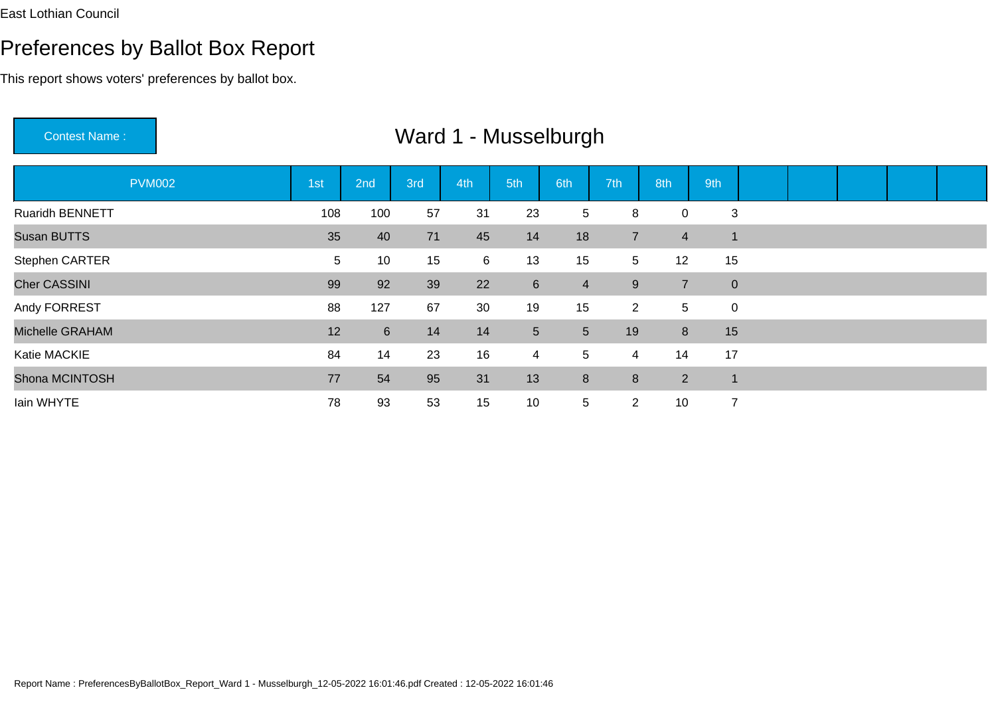This report shows voters' preferences by ballot box.

Contest Name : Ward 1 - MusselburghPVM002 1st 2nd 3rd 4th 5th 6th 7th 8th 9th Ruaridh BENNETTT 108 100 57 31 23 5 8 0 3 Susan BUTTSS 35 40 71 45 14 18 7 4 1 Stephen CARTER <sup>5</sup> <sup>10</sup> <sup>15</sup> <sup>6</sup> <sup>13</sup> <sup>15</sup> <sup>5</sup> <sup>12</sup> <sup>15</sup> Cher CASSINI 99 <sup>92</sup> <sup>39</sup> <sup>22</sup> <sup>6</sup> <sup>4</sup> <sup>9</sup> <sup>7</sup> <sup>0</sup> Andy FORREST <sup>88</sup> <sup>127</sup> <sup>67</sup> <sup>30</sup> <sup>19</sup> <sup>15</sup> <sup>2</sup> <sup>5</sup> <sup>0</sup> Michelle GRAHAM <sup>12</sup> <sup>6</sup> <sup>14</sup> <sup>14</sup> <sup>5</sup> <sup>5</sup> <sup>19</sup> <sup>8</sup> <sup>15</sup> Katie MACKIE <sup>84</sup> <sup>14</sup> <sup>23</sup> <sup>16</sup> <sup>4</sup> <sup>5</sup> <sup>4</sup> <sup>14</sup> <sup>17</sup> Shona MCINTOSH <sup>77</sup> <sup>54</sup> <sup>95</sup> <sup>31</sup> <sup>13</sup> <sup>8</sup> <sup>8</sup> <sup>2</sup> <sup>1</sup> Iain WHYTE<sup>78</sup> <sup>93</sup> <sup>53</sup> <sup>15</sup> <sup>10</sup> <sup>5</sup> <sup>2</sup> <sup>10</sup> <sup>7</sup>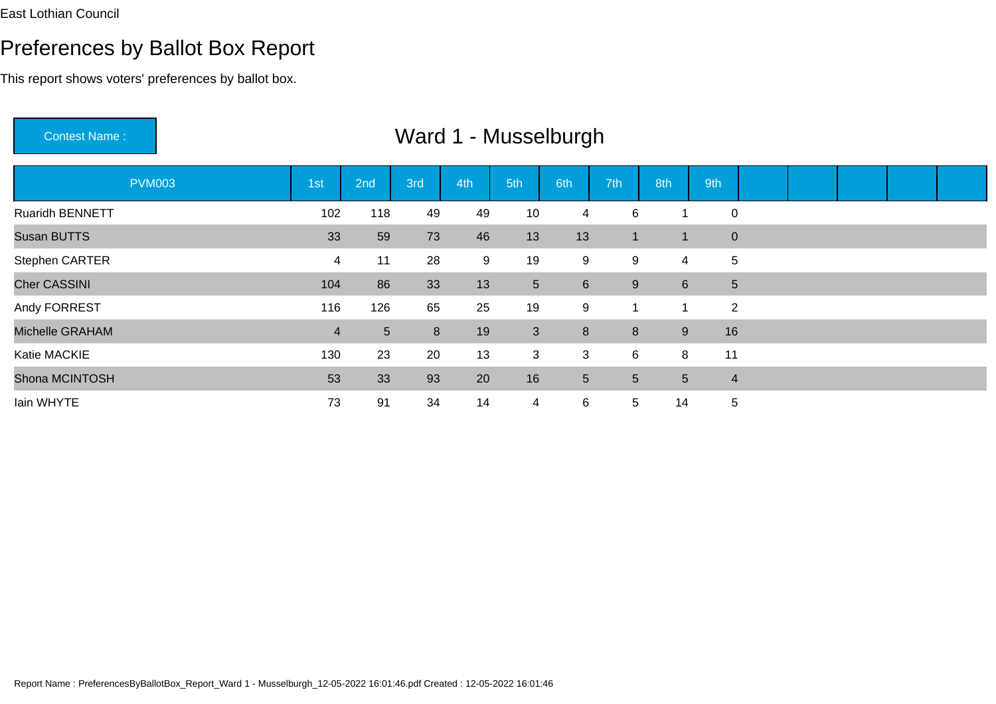This report shows voters' preferences by ballot box.

Contest Name : Ward 1 - MusselburghPVM003 1st 2nd 3rd 4th 5th 6th 7th 8th 9th Ruaridh BENNETT <sup>102</sup> <sup>118</sup> <sup>49</sup> <sup>49</sup> <sup>10</sup> <sup>4</sup> <sup>6</sup> <sup>1</sup> <sup>0</sup> Susan BUTTS5 59 73 46 13 13 1 1 0 Stephen CARTER <sup>4</sup> <sup>11</sup> <sup>28</sup> <sup>9</sup> <sup>19</sup> <sup>9</sup> <sup>9</sup> <sup>4</sup> <sup>5</sup> Cher CASSINI 104 <sup>86</sup> <sup>33</sup> <sup>13</sup> <sup>5</sup> <sup>6</sup> <sup>9</sup> <sup>6</sup> <sup>5</sup> Andy FORREST <sup>116</sup> <sup>126</sup> <sup>65</sup> <sup>25</sup> <sup>19</sup> <sup>9</sup> <sup>1</sup> <sup>1</sup> <sup>2</sup> Michelle GRAHAMM<br>2 16 16 17 18 19 19 19 19 19 19 19 19 19 19 19 10 Katie MACKIE <sup>130</sup> <sup>23</sup> <sup>20</sup> <sup>13</sup> <sup>3</sup> <sup>3</sup> <sup>6</sup> <sup>8</sup> <sup>11</sup> Shona MCINTOSH <sup>53</sup> <sup>33</sup> <sup>93</sup> <sup>20</sup> <sup>16</sup> <sup>5</sup> <sup>5</sup> <sup>5</sup> <sup>4</sup> Iain WHYTE<sup>73</sup> <sup>91</sup> <sup>34</sup> <sup>14</sup> <sup>4</sup> <sup>6</sup> <sup>5</sup> <sup>14</sup> <sup>5</sup>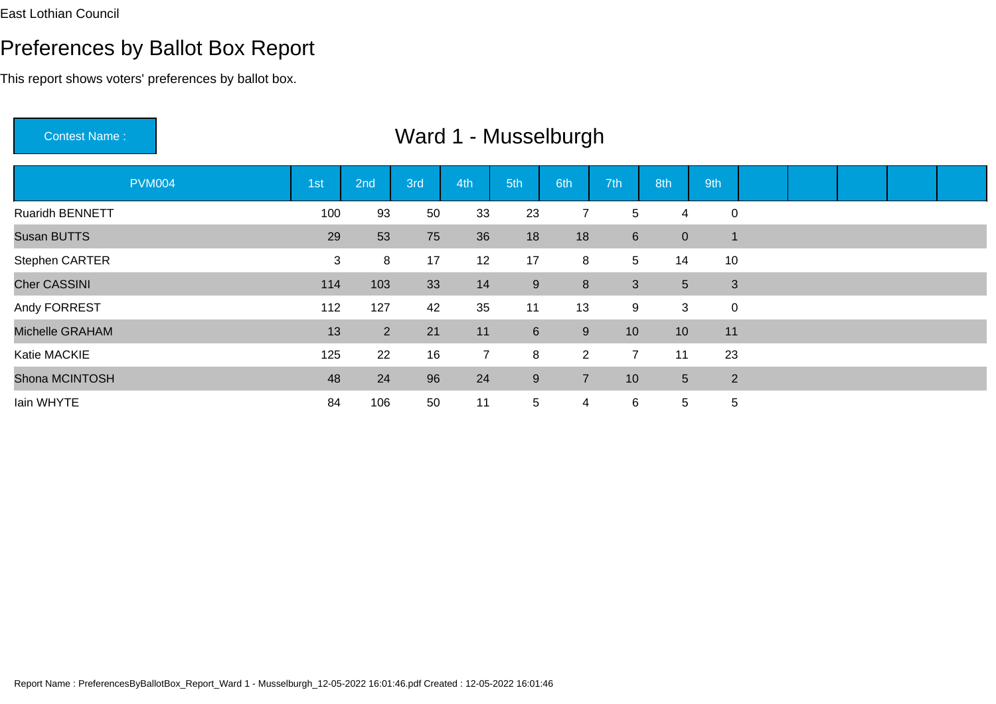This report shows voters' preferences by ballot box.

Contest Name :PVM004 1st 2nd 3rd 4th 5th 6th 7th 8th 9th Ruaridh BENNETTT 100 93 50 33 23 7 5 4 0 Susan BUTTS29 53 75 36 18 18 6 0 1 Stephen CARTER <sup>3</sup> <sup>8</sup> <sup>17</sup> <sup>12</sup> <sup>17</sup> <sup>8</sup> <sup>5</sup> <sup>14</sup> <sup>10</sup> Cher CASSINI $1$  <sup>103</sup> <sup>33</sup> <sup>14</sup> <sup>9</sup> <sup>8</sup> <sup>3</sup> <sup>5</sup> <sup>3</sup> Andy FORREST <sup>112</sup> <sup>127</sup> <sup>42</sup> <sup>35</sup> <sup>11</sup> <sup>13</sup> <sup>9</sup> <sup>3</sup> <sup>0</sup> Michelle GRAHAM13 2 21 11 6 9 10 10 11 Katie MACKIE <sup>125</sup> <sup>22</sup> <sup>16</sup> <sup>7</sup> <sup>8</sup> <sup>2</sup> <sup>7</sup> <sup>11</sup> <sup>23</sup> Shona MCINTOSH <sup>48</sup> <sup>24</sup> <sup>96</sup> <sup>24</sup> <sup>9</sup> <sup>7</sup> <sup>10</sup> <sup>5</sup> <sup>2</sup> Iain WHYTE<sup>84</sup> <sup>106</sup> <sup>50</sup> <sup>11</sup> <sup>5</sup> <sup>4</sup> <sup>6</sup> <sup>5</sup> <sup>5</sup>